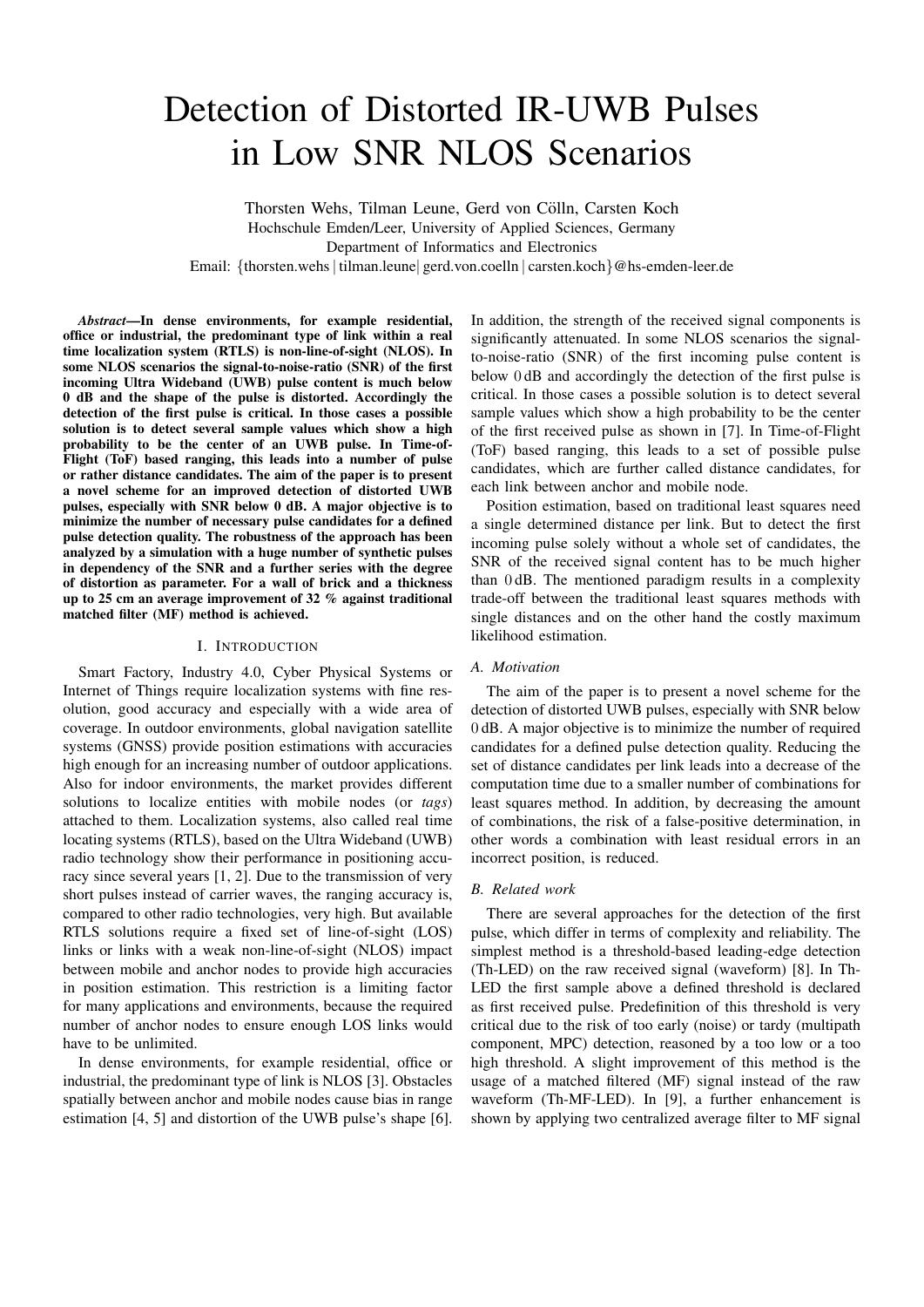# Detection of Distorted IR-UWB Pulses in Low SNR NLOS Scenarios

Thorsten Wehs, Tilman Leune, Gerd von Cölln, Carsten Koch Hochschule Emden/Leer, University of Applied Sciences, Germany Department of Informatics and Electronics Email: {thorsten.wehs| tilman.leune| gerd.von.coelln | carsten.koch}@hs-emden-leer.de

*Abstract*—In dense environments, for example residential, office or industrial, the predominant type of link within a real time localization system (RTLS) is non-line-of-sight (NLOS). In some NLOS scenarios the signal-to-noise-ratio (SNR) of the first incoming Ultra Wideband (UWB) pulse content is much below 0 dB and the shape of the pulse is distorted. Accordingly the detection of the first pulse is critical. In those cases a possible solution is to detect several sample values which show a high probability to be the center of an UWB pulse. In Time-of-Flight (ToF) based ranging, this leads into a number of pulse or rather distance candidates. The aim of the paper is to present a novel scheme for an improved detection of distorted UWB pulses, especially with SNR below 0 dB. A major objective is to minimize the number of necessary pulse candidates for a defined pulse detection quality. The robustness of the approach has been analyzed by a simulation with a huge number of synthetic pulses in dependency of the SNR and a further series with the degree of distortion as parameter. For a wall of brick and a thickness up to 25 cm an average improvement of 32 % against traditional matched filter (MF) method is achieved.

#### I. INTRODUCTION

Smart Factory, Industry 4.0, Cyber Physical Systems or Internet of Things require localization systems with fine resolution, good accuracy and especially with a wide area of coverage. In outdoor environments, global navigation satellite systems (GNSS) provide position estimations with accuracies high enough for an increasing number of outdoor applications. Also for indoor environments, the market provides different solutions to localize entities with mobile nodes (or *tags*) attached to them. Localization systems, also called real time locating systems (RTLS), based on the Ultra Wideband (UWB) radio technology show their performance in positioning accuracy since several years [1, 2]. Due to the transmission of very short pulses instead of carrier waves, the ranging accuracy is, compared to other radio technologies, very high. But available RTLS solutions require a fixed set of line-of-sight (LOS) links or links with a weak non-line-of-sight (NLOS) impact between mobile and anchor nodes to provide high accuracies in position estimation. This restriction is a limiting factor for many applications and environments, because the required number of anchor nodes to ensure enough LOS links would have to be unlimited.

In dense environments, for example residential, office or industrial, the predominant type of link is NLOS [3]. Obstacles spatially between anchor and mobile nodes cause bias in range estimation [4, 5] and distortion of the UWB pulse's shape [6].

In addition, the strength of the received signal components is significantly attenuated. In some NLOS scenarios the signalto-noise-ratio (SNR) of the first incoming pulse content is below 0 dB and accordingly the detection of the first pulse is critical. In those cases a possible solution is to detect several sample values which show a high probability to be the center of the first received pulse as shown in [7]. In Time-of-Flight (ToF) based ranging, this leads to a set of possible pulse candidates, which are further called distance candidates, for each link between anchor and mobile node.

Position estimation, based on traditional least squares need a single determined distance per link. But to detect the first incoming pulse solely without a whole set of candidates, the SNR of the received signal content has to be much higher than 0 dB. The mentioned paradigm results in a complexity trade-off between the traditional least squares methods with single distances and on the other hand the costly maximum likelihood estimation.

#### *A. Motivation*

The aim of the paper is to present a novel scheme for the detection of distorted UWB pulses, especially with SNR below 0 dB. A major objective is to minimize the number of required candidates for a defined pulse detection quality. Reducing the set of distance candidates per link leads into a decrease of the computation time due to a smaller number of combinations for least squares method. In addition, by decreasing the amount of combinations, the risk of a false-positive determination, in other words a combination with least residual errors in an incorrect position, is reduced.

## *B. Related work*

There are several approaches for the detection of the first pulse, which differ in terms of complexity and reliability. The simplest method is a threshold-based leading-edge detection (Th-LED) on the raw received signal (waveform) [8]. In Th-LED the first sample above a defined threshold is declared as first received pulse. Predefinition of this threshold is very critical due to the risk of too early (noise) or tardy (multipath component, MPC) detection, reasoned by a too low or a too high threshold. A slight improvement of this method is the usage of a matched filtered (MF) signal instead of the raw waveform (Th-MF-LED). In [9], a further enhancement is shown by applying two centralized average filter to MF signal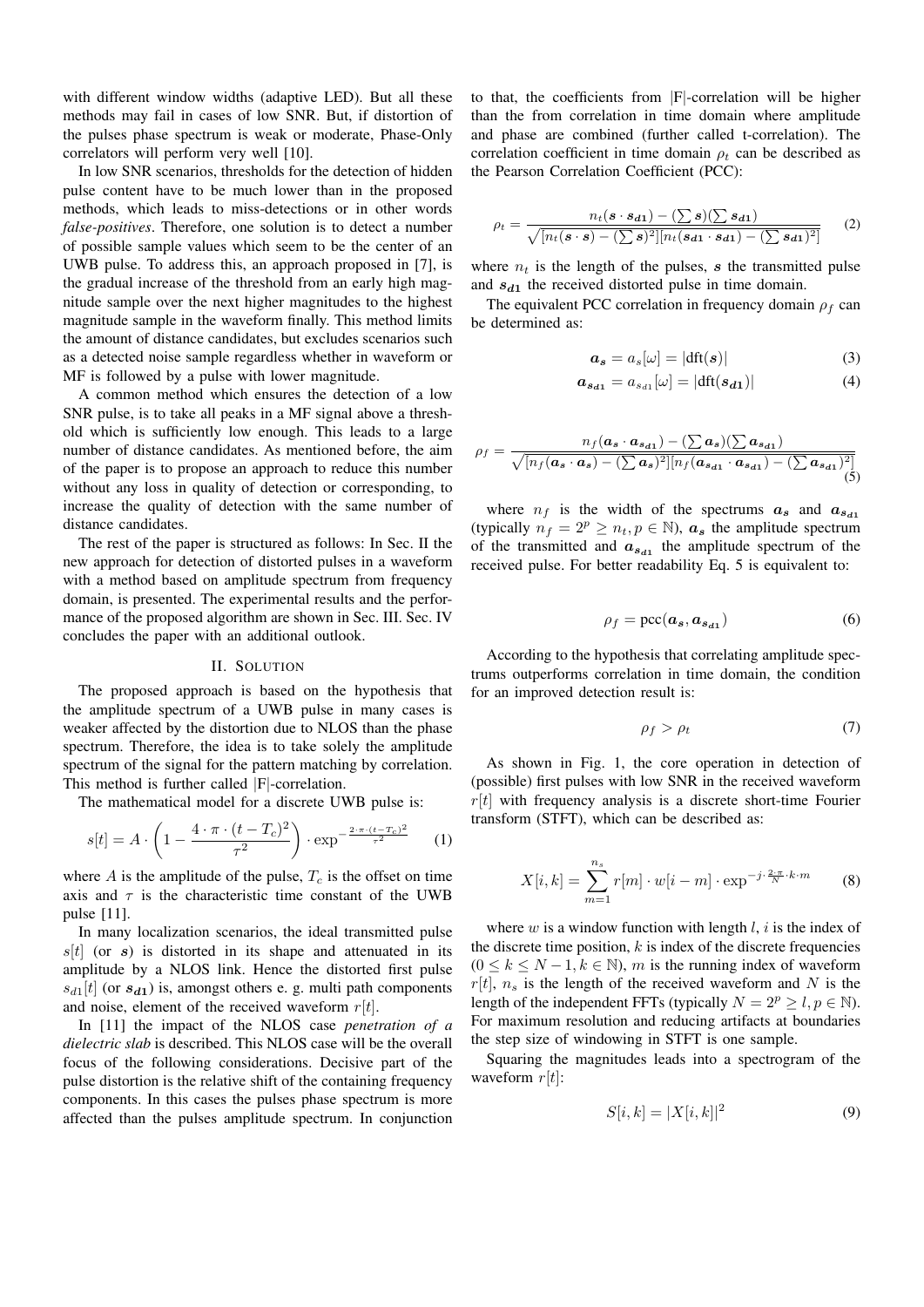with different window widths (adaptive LED). But all these methods may fail in cases of low SNR. But, if distortion of the pulses phase spectrum is weak or moderate, Phase-Only correlators will perform very well [10].

In low SNR scenarios, thresholds for the detection of hidden pulse content have to be much lower than in the proposed methods, which leads to miss-detections or in other words *false-positives*. Therefore, one solution is to detect a number of possible sample values which seem to be the center of an UWB pulse. To address this, an approach proposed in [7], is the gradual increase of the threshold from an early high magnitude sample over the next higher magnitudes to the highest magnitude sample in the waveform finally. This method limits the amount of distance candidates, but excludes scenarios such as a detected noise sample regardless whether in waveform or MF is followed by a pulse with lower magnitude.

A common method which ensures the detection of a low SNR pulse, is to take all peaks in a MF signal above a threshold which is sufficiently low enough. This leads to a large number of distance candidates. As mentioned before, the aim of the paper is to propose an approach to reduce this number without any loss in quality of detection or corresponding, to increase the quality of detection with the same number of distance candidates.

The rest of the paper is structured as follows: In Sec. II the new approach for detection of distorted pulses in a waveform with a method based on amplitude spectrum from frequency domain, is presented. The experimental results and the performance of the proposed algorithm are shown in Sec. III. Sec. IV concludes the paper with an additional outlook.

#### II. SOLUTION

The proposed approach is based on the hypothesis that the amplitude spectrum of a UWB pulse in many cases is weaker affected by the distortion due to NLOS than the phase spectrum. Therefore, the idea is to take solely the amplitude spectrum of the signal for the pattern matching by correlation. This method is further called |F|-correlation.

The mathematical model for a discrete UWB pulse is:

$$
s[t] = A \cdot \left(1 - \frac{4 \cdot \pi \cdot (t - T_c)^2}{\tau^2}\right) \cdot \exp^{-\frac{2 \cdot \pi \cdot (t - T_c)^2}{\tau^2}} \tag{1}
$$

where A is the amplitude of the pulse,  $T_c$  is the offset on time axis and  $\tau$  is the characteristic time constant of the UWB pulse [11].

In many localization scenarios, the ideal transmitted pulse  $s[t]$  (or s) is distorted in its shape and attenuated in its amplitude by a NLOS link. Hence the distorted first pulse  $s_{d1}[t]$  (or  $s_{d1}$ ) is, amongst others e. g. multi path components and noise, element of the received waveform  $r[t]$ .

In [11] the impact of the NLOS case *penetration of a dielectric slab* is described. This NLOS case will be the overall focus of the following considerations. Decisive part of the pulse distortion is the relative shift of the containing frequency components. In this cases the pulses phase spectrum is more affected than the pulses amplitude spectrum. In conjunction to that, the coefficients from |F|-correlation will be higher than the from correlation in time domain where amplitude and phase are combined (further called t-correlation). The correlation coefficient in time domain  $\rho_t$  can be described as the Pearson Correlation Coefficient (PCC):

$$
\rho_t = \frac{n_t(\mathbf{s} \cdot \mathbf{s_{d1}}) - (\sum \mathbf{s})(\sum \mathbf{s_{d1}})}{\sqrt{[n_t(\mathbf{s} \cdot \mathbf{s}) - (\sum \mathbf{s})^2][n_t(\mathbf{s_{d1}} \cdot \mathbf{s_{d1}}) - (\sum \mathbf{s_{d1}})^2]}}
$$
(2)

where  $n_t$  is the length of the pulses, s the transmitted pulse and  $s_{d1}$  the received distorted pulse in time domain.

The equivalent PCC correlation in frequency domain  $\rho_f$  can be determined as:

$$
\boldsymbol{a_s} = a_s[\omega] = |\text{dft}(\boldsymbol{s})| \tag{3}
$$

$$
\boldsymbol{a}_{s_{d1}} = a_{s_{d1}}[\omega] = |\text{dft}(s_{d1})| \tag{4}
$$

$$
\rho_f = \frac{n_f(\mathbf{a}_s \cdot \mathbf{a}_{s_{d1}}) - (\sum \mathbf{a}_s)(\sum \mathbf{a}_{s_{d1}})}{\sqrt{[n_f(\mathbf{a}_s \cdot \mathbf{a}_s) - (\sum \mathbf{a}_s)^2][n_f(\mathbf{a}_{s_{d1}} \cdot \mathbf{a}_{s_{d1}}) - (\sum \mathbf{a}_{s_{d1}})^2]}} \tag{5}
$$

where  $n_f$  is the width of the spectrums  $a_s$  and  $a_{s_d1}$ (typically  $n_f = 2^p \ge n_t, p \in \mathbb{N}$ ),  $a_s$  the amplitude spectrum of the transmitted and  $a_{s_{d1}}$  the amplitude spectrum of the received pulse. For better readability Eq. 5 is equivalent to:

$$
\rho_f = \text{pcc}(\boldsymbol{a_s}, \boldsymbol{a_{s_{d1}}}) \tag{6}
$$

According to the hypothesis that correlating amplitude spectrums outperforms correlation in time domain, the condition for an improved detection result is:

$$
\rho_f > \rho_t \tag{7}
$$

As shown in Fig. 1, the core operation in detection of (possible) first pulses with low SNR in the received waveform  $r[t]$  with frequency analysis is a discrete short-time Fourier transform (STFT), which can be described as:

$$
X[i,k] = \sum_{m=1}^{n_s} r[m] \cdot w[i-m] \cdot \exp^{-j \cdot \frac{2 \cdot \pi}{N} \cdot k \cdot m} \tag{8}
$$

where w is a window function with length  $l, i$  is the index of the discrete time position,  $k$  is index of the discrete frequencies  $(0 \le k \le N-1, k \in \mathbb{N})$ , m is the running index of waveform  $r[t]$ ,  $n<sub>s</sub>$  is the length of the received waveform and N is the length of the independent FFTs (typically  $N = 2^p \ge l$ ,  $p \in \mathbb{N}$ ). For maximum resolution and reducing artifacts at boundaries the step size of windowing in STFT is one sample.

Squaring the magnitudes leads into a spectrogram of the waveform  $r[t]$ :

$$
S[i,k] = |X[i,k]|^2 \tag{9}
$$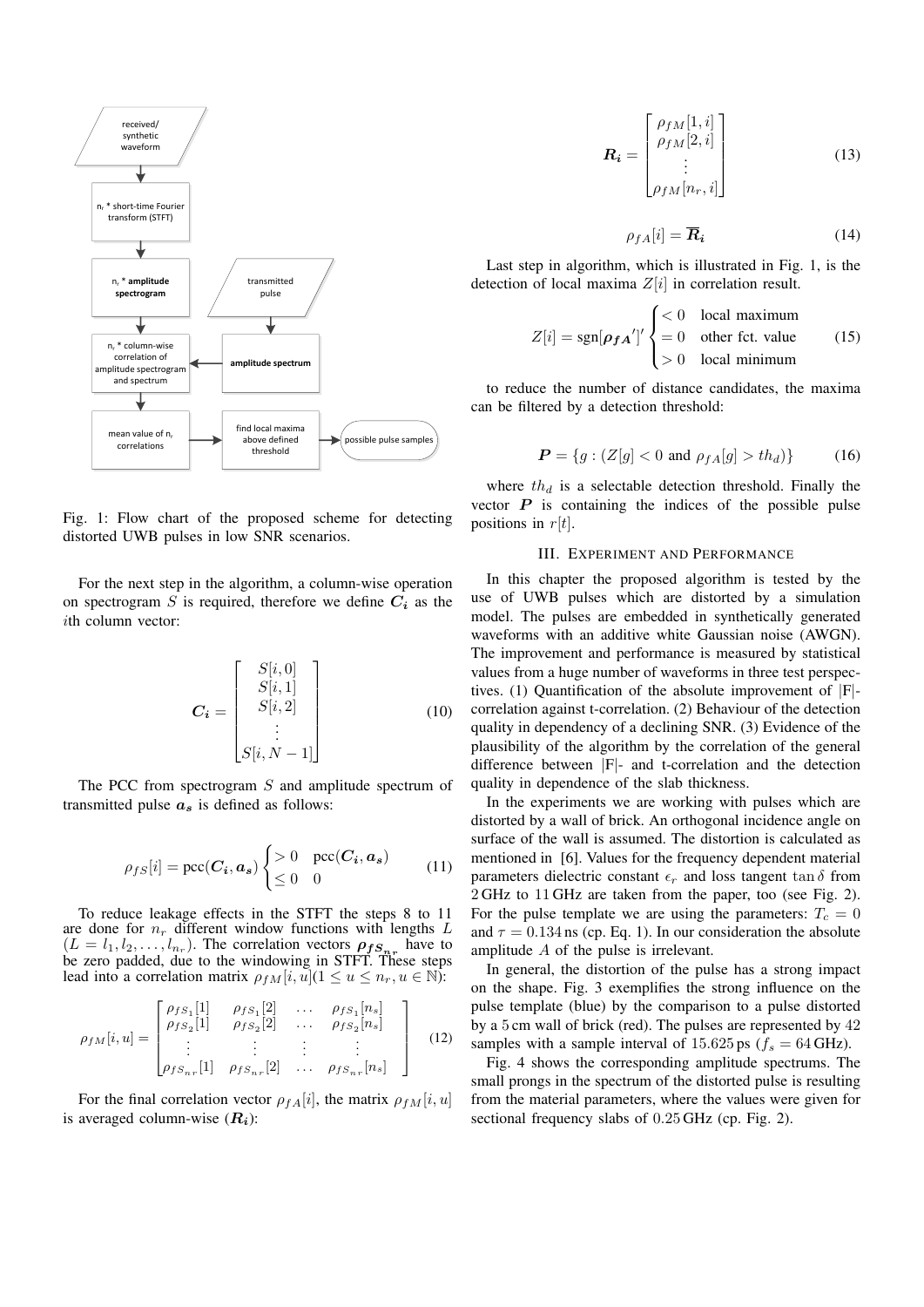

Fig. 1: Flow chart of the proposed scheme for detecting distorted UWB pulses in low SNR scenarios.

For the next step in the algorithm, a column-wise operation on spectrogram  $S$  is required, therefore we define  $C_i$  as the ith column vector:

$$
\boldsymbol{C_i} = \begin{bmatrix} S[i, 0] \\ S[i, 1] \\ S[i, 2] \\ \vdots \\ S[i, N-1] \end{bmatrix}
$$
 (10)

The PCC from spectrogram  $S$  and amplitude spectrum of transmitted pulse  $a<sub>s</sub>$  is defined as follows:

$$
\rho_{fS}[i] = \text{pcc}(C_i, a_s) \begin{cases} > 0 & \text{pcc}(C_i, a_s) \\ \leq 0 & 0 \end{cases} \tag{11}
$$

To reduce leakage effects in the STFT the steps 8 to 11 are done for  $n_r$  different window functions with lengths L  $(L = l_1, l_2, \ldots, l_{n_r})$ . The correlation vectors  $\rho_{fs_{n_r}}$  have to be zero padded, due to the windowing in STFT. These steps lead into a correlation matrix  $\rho_{fM}[i, u](1 \le u \le n_r, u \in \mathbb{N})$ :

$$
\rho_{fM}[i, u] = \begin{bmatrix} \rho_{fS_1}[1] & \rho_{fS_1}[2] & \dots & \rho_{fS_1}[n_s] \\ \rho_{fS_2}[1] & \rho_{fS_2}[2] & \dots & \rho_{fS_2}[n_s] \\ \vdots & \vdots & \vdots & \vdots \\ \rho_{fS_{nr}}[1] & \rho_{fS_{nr}}[2] & \dots & \rho_{fS_{nr}}[n_s] \end{bmatrix}
$$
(12)

For the final correlation vector  $\rho_{fA}[i]$ , the matrix  $\rho_{fM}[i, u]$ is averaged column-wise  $(R_i)$ :

$$
\boldsymbol{R_i} = \begin{bmatrix} \rho_{fM}[1, i] \\ \rho_{fM}[2, i] \\ \vdots \\ \rho_{fM}[n_r, i] \end{bmatrix}
$$
(13)

$$
\rho_{fA}[i] = \overline{R}_i \tag{14}
$$

Last step in algorithm, which is illustrated in Fig. 1, is the detection of local maxima  $Z[i]$  in correlation result.

$$
Z[i] = \text{sgn}[\rho_{fA}']' \begin{cases} < 0 & \text{local maximum} \\ = 0 & \text{other fct. value} \\ > 0 & \text{local minimum} \end{cases} \tag{15}
$$

to reduce the number of distance candidates, the maxima can be filtered by a detection threshold:

$$
\boldsymbol{P} = \{ g : (Z[g] < 0 \text{ and } \rho_{fA}[g] > th_d) \} \tag{16}
$$

where  $th_d$  is a selectable detection threshold. Finally the vector  $P$  is containing the indices of the possible pulse positions in  $r[t]$ .

### III. EXPERIMENT AND PERFORMANCE

In this chapter the proposed algorithm is tested by the use of UWB pulses which are distorted by a simulation model. The pulses are embedded in synthetically generated waveforms with an additive white Gaussian noise (AWGN). The improvement and performance is measured by statistical values from a huge number of waveforms in three test perspectives. (1) Quantification of the absolute improvement of |F| correlation against t-correlation. (2) Behaviour of the detection quality in dependency of a declining SNR. (3) Evidence of the plausibility of the algorithm by the correlation of the general difference between |F|- and t-correlation and the detection quality in dependence of the slab thickness.

In the experiments we are working with pulses which are distorted by a wall of brick. An orthogonal incidence angle on surface of the wall is assumed. The distortion is calculated as mentioned in [6]. Values for the frequency dependent material parameters dielectric constant  $\epsilon_r$  and loss tangent tan  $\delta$  from 2 GHz to 11 GHz are taken from the paper, too (see Fig. 2). For the pulse template we are using the parameters:  $T_c = 0$ and  $\tau = 0.134$  ns (cp. Eq. 1). In our consideration the absolute amplitude A of the pulse is irrelevant.

In general, the distortion of the pulse has a strong impact on the shape. Fig. 3 exemplifies the strong influence on the pulse template (blue) by the comparison to a pulse distorted by a 5 cm wall of brick (red). The pulses are represented by 42 samples with a sample interval of 15.625 ps ( $f_s = 64$  GHz).

Fig. 4 shows the corresponding amplitude spectrums. The small prongs in the spectrum of the distorted pulse is resulting from the material parameters, where the values were given for sectional frequency slabs of 0.25 GHz (cp. Fig. 2).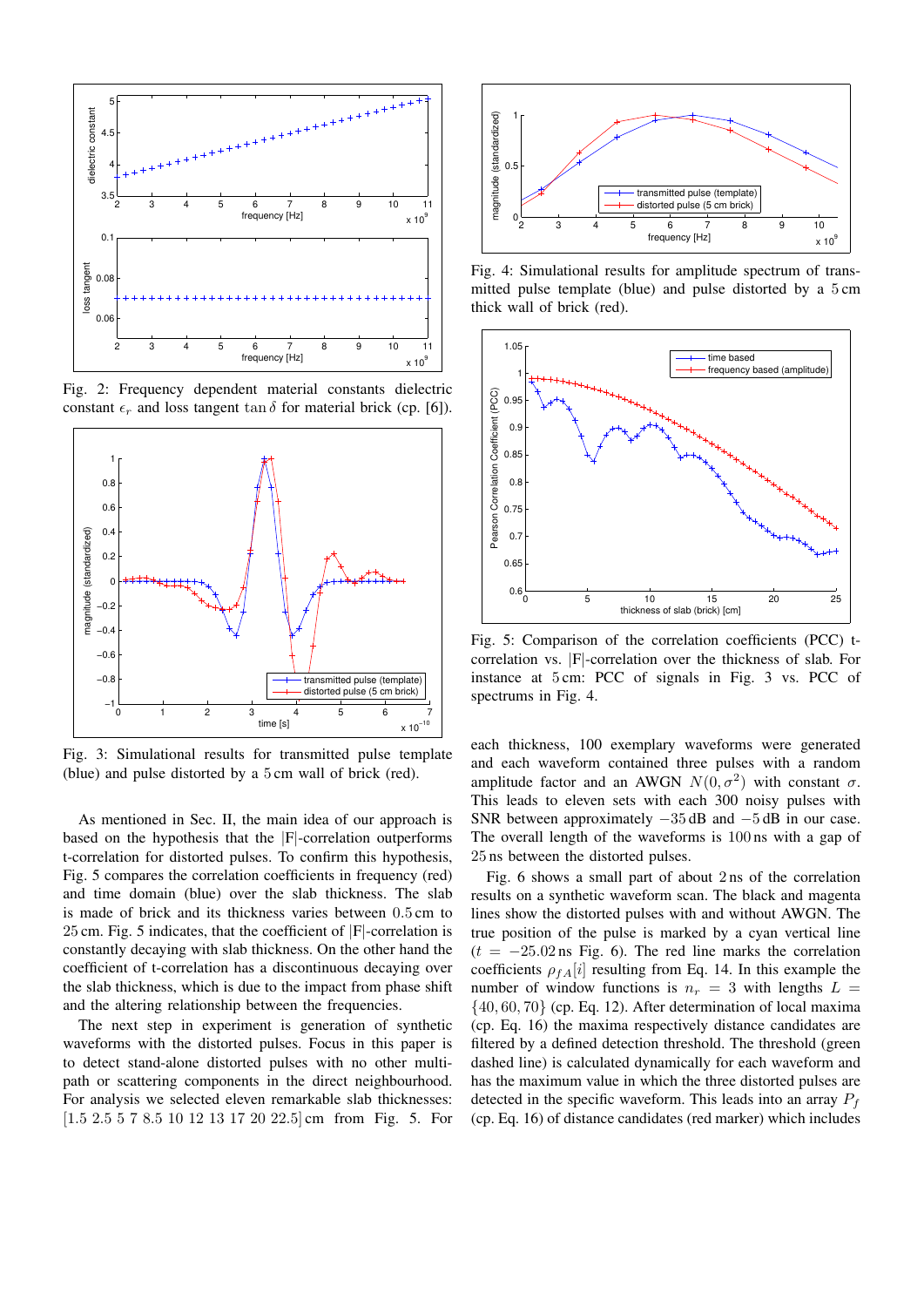

Fig. 2: Frequency dependent material constants dielectric constant  $\epsilon_r$  and loss tangent tan  $\delta$  for material brick (cp. [6]).



Fig. 3: Simulational results for transmitted pulse template (blue) and pulse distorted by a 5 cm wall of brick (red).

As mentioned in Sec. II, the main idea of our approach is based on the hypothesis that the |F|-correlation outperforms t-correlation for distorted pulses. To confirm this hypothesis, Fig. 5 compares the correlation coefficients in frequency (red) and time domain (blue) over the slab thickness. The slab is made of brick and its thickness varies between 0.5 cm to 25 cm. Fig. 5 indicates, that the coefficient of |F|-correlation is constantly decaying with slab thickness. On the other hand the coefficient of t-correlation has a discontinuous decaying over the slab thickness, which is due to the impact from phase shift and the altering relationship between the frequencies.

The next step in experiment is generation of synthetic waveforms with the distorted pulses. Focus in this paper is to detect stand-alone distorted pulses with no other multipath or scattering components in the direct neighbourhood. For analysis we selected eleven remarkable slab thicknesses: [1.5 2.5 5 7 8.5 10 12 13 17 20 22.5] cm from Fig. 5. For



thick wall of brick (red). 2 mitted pulse template (blue) and pulse distorted by a 5 cm 4 Fig. 4: Simulational results for amplitude spectrum of trans-



Fig. 5: Comparison of the correlation coefficients (PCC) tcorrelation vs. |F|-correlation over the thickness of slab. For instance at 5 cm: PCC of signals in Fig. 3 vs. PCC of spectrums in Fig. 4.

each thickness, 100 exemplary waveforms were generated and each waveform contained three pulses with a random amplitude factor and an AWGN  $N(0, \sigma^2)$  with constant  $\sigma$ . This leads to eleven sets with each 300 noisy pulses with SNR between approximately  $-35$  dB and  $-5$  dB in our case. The overall length of the waveforms is 100 ns with a gap of 25 ns between the distorted pulses.

Fig. 6 shows a small part of about 2 ns of the correlation results on a synthetic waveform scan. The black and magenta lines show the distorted pulses with and without AWGN. The true position of the pulse is marked by a cyan vertical line  $(t = -25.02 \text{ ns}$  Fig. 6). The red line marks the correlation coefficients  $\rho_{fA}[i]$  resulting from Eq. 14. In this example the number of window functions is  $n_r = 3$  with lengths  $L =$  $\{40, 60, 70\}$  (cp. Eq. 12). After determination of local maxima (cp. Eq. 16) the maxima respectively distance candidates are filtered by a defined detection threshold. The threshold (green dashed line) is calculated dynamically for each waveform and has the maximum value in which the three distorted pulses are detected in the specific waveform. This leads into an array  $P_f$ (cp. Eq. 16) of distance candidates (red marker) which includes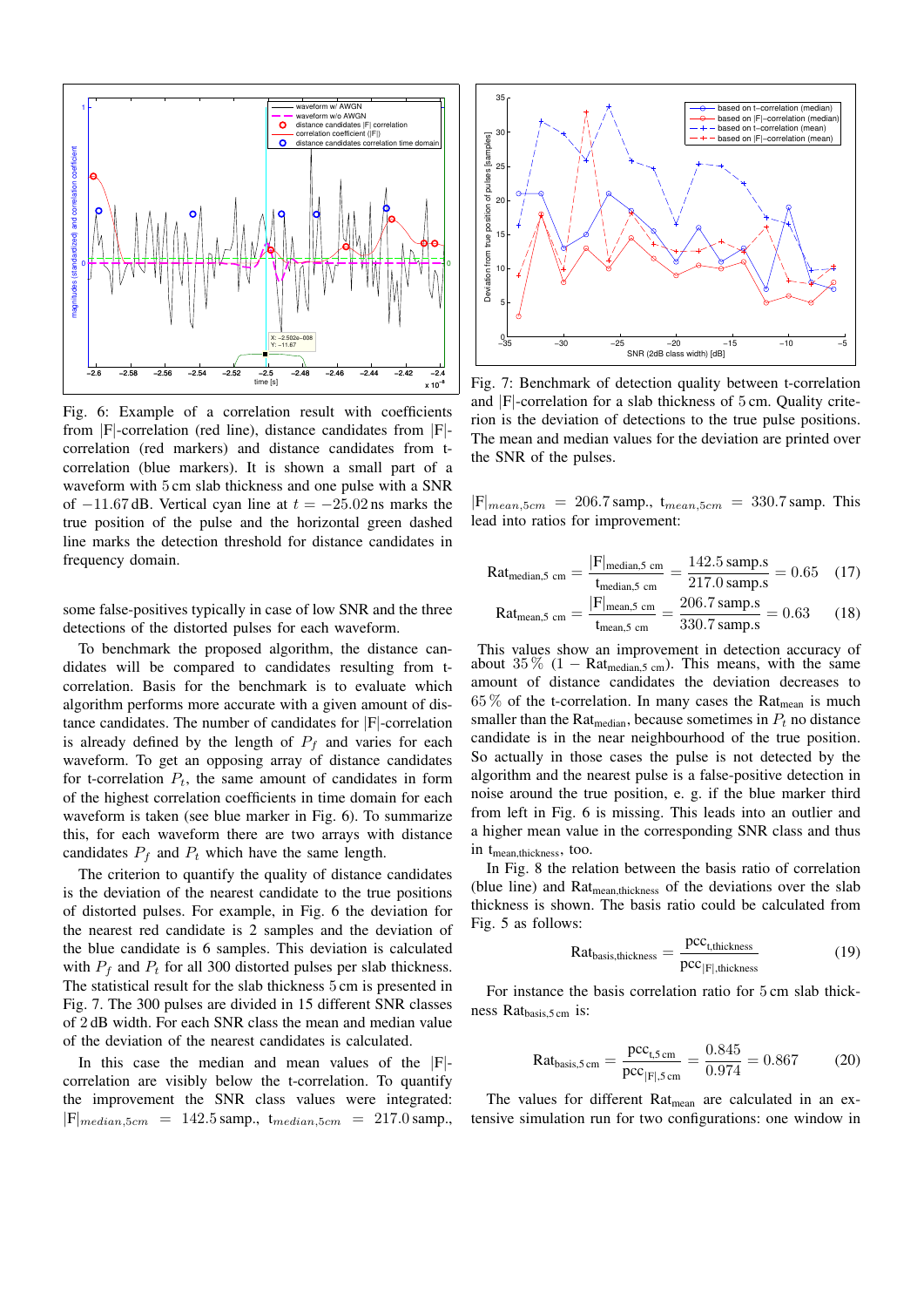

Fig. 6: Example of a correlation result with coefficients from |F|-correlation (red line), distance candidates from |F| correlation (red markers) and distance candidates from tcorrelation (blue markers). It is shown a small part of a waveform with 5 cm slab thickness and one pulse with a SNR of  $-11.67$  dB. Vertical cyan line at  $t = -25.02$  ns marks the true position of the pulse and the horizontal green dashed line marks the detection threshold for distance candidates in frequency domain.

some false-positives typically in case of low SNR and the three detections of the distorted pulses for each waveform.

To benchmark the proposed algorithm, the distance candidates will be compared to candidates resulting from tcorrelation. Basis for the benchmark is to evaluate which algorithm performs more accurate with a given amount of distance candidates. The number of candidates for |F|-correlation is already defined by the length of  $P_f$  and varies for each waveform. To get an opposing array of distance candidates for t-correlation  $P_t$ , the same amount of candidates in form of the highest correlation coefficients in time domain for each waveform is taken (see blue marker in Fig. 6). To summarize this, for each waveform there are two arrays with distance candidates  $P_f$  and  $P_t$  which have the same length.

The criterion to quantify the quality of distance candidates is the deviation of the nearest candidate to the true positions of distorted pulses. For example, in Fig. 6 the deviation for the nearest red candidate is 2 samples and the deviation of the blue candidate is 6 samples. This deviation is calculated with  $P_f$  and  $P_t$  for all 300 distorted pulses per slab thickness. The statistical result for the slab thickness 5 cm is presented in Fig. 7. The 300 pulses are divided in 15 different SNR classes of 2 dB width. For each SNR class the mean and median value of the deviation of the nearest candidates is calculated.

In this case the median and mean values of the  $|F|$ correlation are visibly below the t-correlation. To quantify the improvement the SNR class values were integrated:  $|F|_{median,5cm} = 142.5$  samp.,  $t_{median,5cm} = 217.0$  samp.,



Fig. 7: Benchmark of detection quality between t-correlation and |F|-correlation for a slab thickness of 5 cm. Quality criterion is the deviation of detections to the true pulse positions. The mean and median values for the deviation are printed over the SNR of the pulses.

 $|F|_{mean,5cm} = 206.7$  samp.,  $t_{mean,5cm} = 330.7$  samp. This lead into ratios for improvement:

$$
Rat_{\text{median},5 \text{ cm}} = \frac{|F|_{\text{median},5 \text{ cm}}}{t_{\text{median},5 \text{ cm}}} = \frac{142.5 \text{ samp.s}}{217.0 \text{ samp.s}} = 0.65 \quad (17)
$$

$$
Rat_{\text{mean},5 \text{ cm}} = \frac{|F|_{\text{mean},5 \text{ cm}}}{t_{\text{mean},5 \text{ cm}}} = \frac{206.7 \text{ samples}}{330.7 \text{ samples}} = 0.63 \quad (18)
$$

This values show an improvement in detection accuracy of about  $35\%$  (1 – Rat<sub>median,5 cm</sub>). This means, with the same amount of distance candidates the deviation decreases to  $65\%$  of the t-correlation. In many cases the Rat<sub>mean</sub> is much smaller than the Rat<sub>median</sub>, because sometimes in  $P_t$  no distance candidate is in the near neighbourhood of the true position. So actually in those cases the pulse is not detected by the algorithm and the nearest pulse is a false-positive detection in noise around the true position, e. g. if the blue marker third from left in Fig. 6 is missing. This leads into an outlier and a higher mean value in the corresponding SNR class and thus in t<sub>mean,thickness</sub>, too.

In Fig. 8 the relation between the basis ratio of correlation (blue line) and Rat<sub>mean,thickness</sub> of the deviations over the slab thickness is shown. The basis ratio could be calculated from Fig. 5 as follows:

$$
Rat_{basis, thickness} = \frac{pcc_{t, thickness}}{pcc_{|F|, thickness}} \tag{19}
$$

For instance the basis correlation ratio for 5 cm slab thickness Rat<sub>basis, 5 cm</sub> is:

$$
Rat_{basis,5\,cm} = \frac{\text{pcc}_{t,5\,cm}}{\text{pcc}_{|F|,5\,cm}} = \frac{0.845}{0.974} = 0.867\tag{20}
$$

The values for different Rat<sub>mean</sub> are calculated in an extensive simulation run for two configurations: one window in